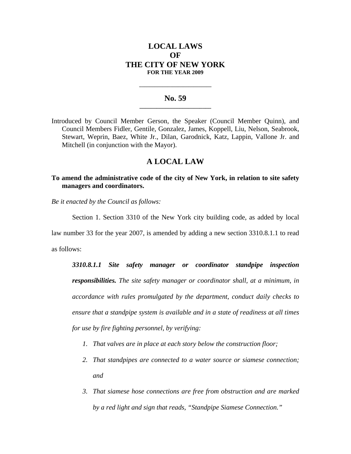# **LOCAL LAWS OF THE CITY OF NEW YORK FOR THE YEAR 2009**

### No. 59

**\_\_\_\_\_\_\_\_\_\_\_\_\_\_\_\_\_\_\_\_\_\_\_\_\_\_\_\_** 

Introduced by Council Member Gerson, the Speaker (Council Member Quinn), and Council Members Fidler, Gentile, Gonzalez, James, Koppell, Liu, Nelson, Seabrook, Stewart, Weprin, Baez, White Jr., Dilan, Garodnick, Katz, Lappin, Vallone Jr. and Mitchell (in conjunction with the Mayor).

# **A LOCAL LAW**

## **To amend the administrative code of the city of New York, in relation to site safety managers and coordinators.**

*Be it enacted by the Council as follows:* 

Section 1. Section 3310 of the New York city building code, as added by local

law number 33 for the year 2007, is amended by adding a new section 3310.8.1.1 to read

as follows:

*3310.8.1.1 Site safety manager or coordinator standpipe inspection responsibilities. The site safety manager or coordinator shall, at a minimum, in accordance with rules promulgated by the department, conduct daily checks to ensure that a standpipe system is available and in a state of readiness at all times for use by fire fighting personnel, by verifying:* 

- *1. That valves are in place at each story below the construction floor;*
- *2. That standpipes are connected to a water source or siamese connection; and*
- *3. That siamese hose connections are free from obstruction and are marked by a red light and sign that reads, "Standpipe Siamese Connection."*